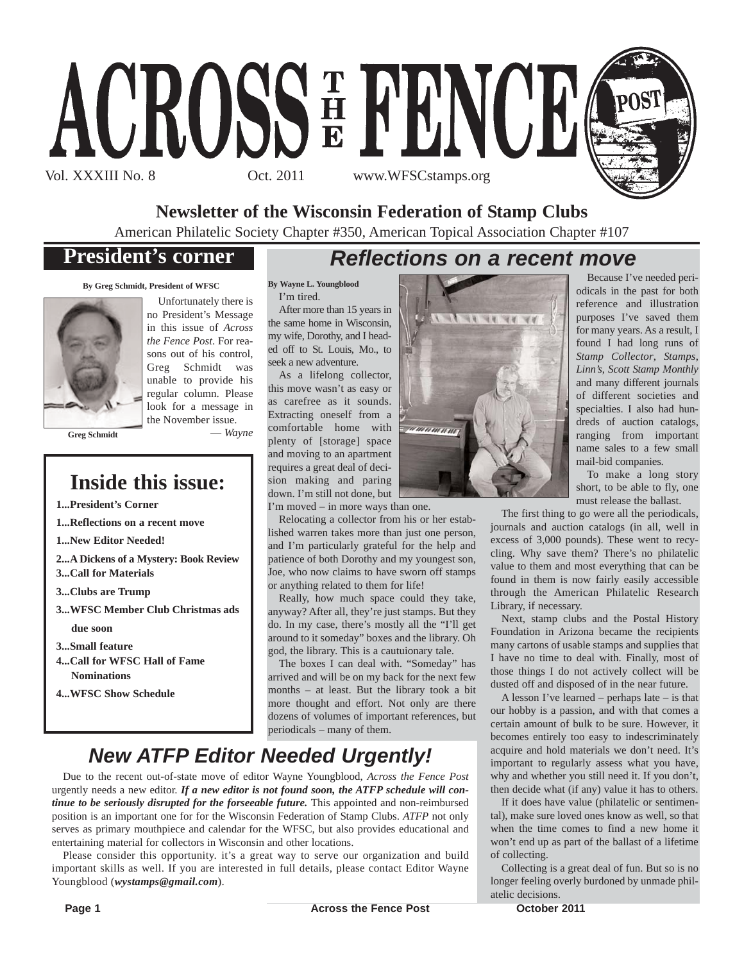

**Newsletter of the Wisconsin Federation of Stamp Clubs**

American Philatelic Society Chapter #350, American Topical Association Chapter #107

## **President's corner**

## *Reflections on a recent move*

**By Greg Schmidt, President of WFSC**



Unfortunately there is no President's Message in this issue of *Across the Fence Post*. For reasons out of his control, Greg Schmidt was unable to provide his regular column. Please look for a message in the November issue. — *Wayne*

**Greg Schmidt**

## **Inside this issue:**

**1...President's Corner**

**1...Reflections on a recent move**

**1...New Editor Needed!**

- **2...A Dickens of a Mystery: Book Review 3...Call for Materials**
- **3...Clubs are Trump**
- **3...WFSC Member Club Christmas ads**

**due soon**

- **3...Small feature**
- **4...Call for WFSC Hall of Fame Nominations**
- **4...WFSC Show Schedule**

#### **By Wayne L. Youngblood**

I'm tired. After more than 15 years in the same home in Wisconsin, my wife, Dorothy, and I headed off to St. Louis, Mo., to seek a new adventure.

As a lifelong collector, this move wasn't as easy or as carefree as it sounds. Extracting oneself from a comfortable home with plenty of [storage] space and moving to an apartment requires a great deal of decision making and paring down. I'm still not done, but

I'm moved – in more ways than one.

Relocating a collector from his or her established warren takes more than just one person, and I'm particularly grateful for the help and patience of both Dorothy and my youngest son, Joe, who now claims to have sworn off stamps or anything related to them for life!

Really, how much space could they take, anyway? After all, they're just stamps. But they do. In my case, there's mostly all the "I'll get around to it someday" boxes and the library. Oh god, the library. This is a cautuionary tale.

The boxes I can deal with. "Someday" has arrived and will be on my back for the next few months – at least. But the library took a bit more thought and effort. Not only are there dozens of volumes of important references, but periodicals – many of them.

## *New ATFP Editor Needed Urgently!*

Due to the recent out-of-state move of editor Wayne Youngblood, *Across the Fence Post* urgently needs a new editor. *If a new editor is not found soon, the ATFP schedule will continue to be seriously disrupted for the forseeable future*. This appointed and non-reimbursed position is an important one for for the Wisconsin Federation of Stamp Clubs. *ATFP* not only serves as primary mouthpiece and calendar for the WFSC, but also provides educational and entertaining material for collectors in Wisconsin and other locations.

Please consider this opportunity. it's a great way to serve our organization and build important skills as well. If you are interested in full details, please contact Editor Wayne Youngblood (*wystamps@gmail.com*).



must release the ballast. The first thing to go were all the periodicals, journals and auction catalogs (in all, well in excess of 3,000 pounds). These went to recycling. Why save them? There's no philatelic value to them and most everything that can be found in them is now fairly easily accessible through the American Philatelic Research

Because I've needed periodicals in the past for both reference and illustration purposes I've saved them for many years. As a result, I found I had long runs of *Stamp Collector*, *Stamps*, *Linn's*, *Scott Stamp Monthly* and many different journals of different societies and specialties. I also had hundreds of auction catalogs, ranging from important name sales to a few small mail-bid companies.

To make a long story short, to be able to fly, one

Library, if necessary. Next, stamp clubs and the Postal History Foundation in Arizona became the recipients many cartons of usable stamps and supplies that I have no time to deal with. Finally, most of those things I do not actively collect will be dusted off and disposed of in the near future.

A lesson I've learned – perhaps late – is that our hobby is a passion, and with that comes a certain amount of bulk to be sure. However, it becomes entirely too easy to indescriminately acquire and hold materials we don't need. It's important to regularly assess what you have, why and whether you still need it. If you don't, then decide what (if any) value it has to others.

If it does have value (philatelic or sentimental), make sure loved ones know as well, so that when the time comes to find a new home it won't end up as part of the ballast of a lifetime of collecting.

Collecting is a great deal of fun. But so is no longer feeling overly burdoned by unmade philatelic decisions.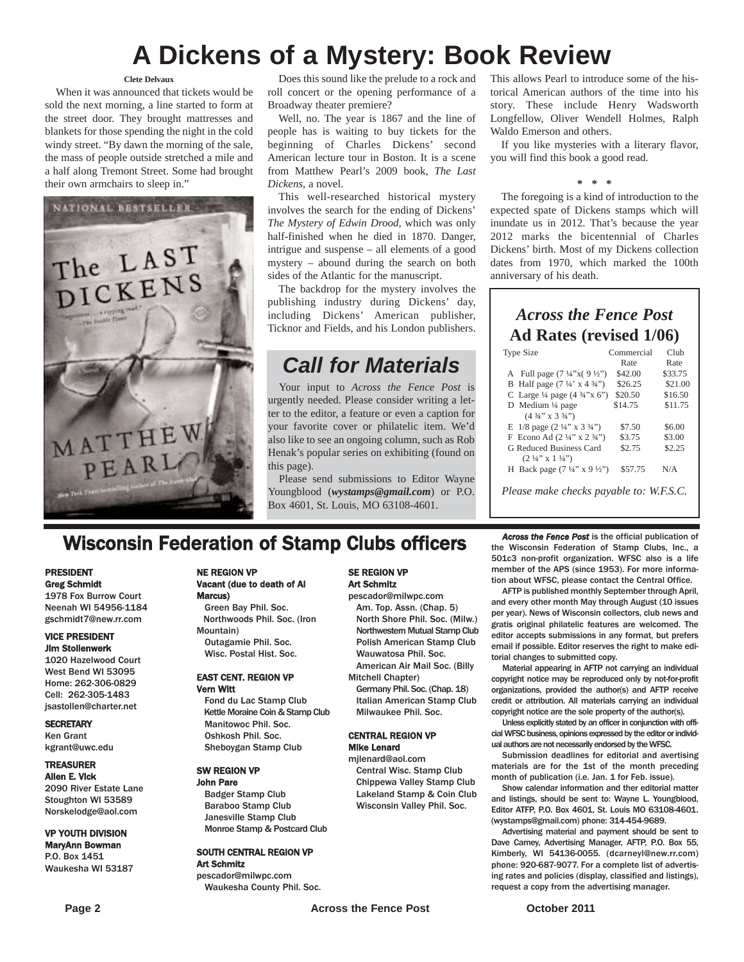## **A Dickens of a Mystery: Book Review**

#### **Clete Delvaux**

When it was announced that tickets would be sold the next morning, a line started to form at the street door. They brought mattresses and blankets for those spending the night in the cold windy street. "By dawn the morning of the sale, the mass of people outside stretched a mile and a half along Tremont Street. Some had brought their own armchairs to sleep in."



Does this sound like the prelude to a rock and roll concert or the opening performance of a Broadway theater premiere?

Well, no. The year is 1867 and the line of people has is waiting to buy tickets for the beginning of Charles Dickens' second American lecture tour in Boston. It is a scene from Matthew Pearl's 2009 book, *The Last Dickens*, a novel.

This well-researched historical mystery involves the search for the ending of Dickens' *The Mystery of Edwin Drood*, which was only half-finished when he died in 1870. Danger, intrigue and suspense – all elements of a good mystery – abound during the search on both sides of the Atlantic for the manuscript.

The backdrop for the mystery involves the publishing industry during Dickens' day, including Dickens' American publisher, Ticknor and Fields, and his London publishers.

## *Call for Materials*

Your input to *Across the Fence Post* is urgently needed. Please consider writing a letter to the editor, a feature or even a caption for your favorite cover or philatelic item. We'd also like to see an ongoing column, such as Rob Henak's popular series on exhibiting (found on this page).

Please send submissions to Editor Wayne Youngblood (*wystamps@gmail.com*) or P.O. Box 4601, St. Louis, MO 63108-4601.

This allows Pearl to introduce some of the historical American authors of the time into his story. These include Henry Wadsworth Longfellow, Oliver Wendell Holmes, Ralph Waldo Emerson and others.

If you like mysteries with a literary flavor, you will find this book a good read.

#### **\* \* \***

The foregoing is a kind of introduction to the expected spate of Dickens stamps which will inundate us in 2012. That's because the year 2012 marks the bicentennial of Charles Dickens' birth. Most of my Dickens collection dates from 1970, which marked the 100th anniversary of his death.

### *Across the Fence Post* **Ad Rates (revised 1/06)**

| <b>Type Size</b>                                   | Commercial | Club    |
|----------------------------------------------------|------------|---------|
|                                                    | Rate       | Rate    |
| A Full page $(7\frac{1}{4}x)(9\frac{1}{2}x)$       | \$42.00    | \$33.75 |
| B Half page $(7\frac{1}{4} \times 4\frac{3}{4})$   | \$26.25    | \$21.00 |
| C Large $\frac{1}{4}$ page $(4 \frac{3}{4}$ "x 6") | \$20.50    | \$16.50 |
| D Medium $\frac{1}{4}$ page                        | \$14.75    | \$11.75 |
| $(4\frac{3}{4}$ " x $3\frac{3}{4}$ ")              |            |         |
| E $1/8$ page $(2\frac{1}{4}$ " x $3\frac{3}{4}$ ") | \$7.50     | \$6.00  |
| F Econo Ad $(2\frac{1}{4}$ " x $2\frac{3}{4}$ ")   | \$3.75     | \$3.00  |
| G Reduced Business Card                            | \$2.75     | \$2.25  |
| $(2\frac{1}{4}$ " x $1\frac{1}{4}$ ")              |            |         |
| H Back page $(7\frac{1}{4}$ " x 9 ½")              | \$57.75    | N/A     |
|                                                    |            |         |
| Please make checks payable to: W.F.S.C.            |            |         |

## **Wisconsin Federation of Stamp Clubs officers** *Across the Fence Post* is the official publication of stamp Clubs, Inc., a

#### PRESIDENT Greg Schmidt

1978 Fox Burrow Court Neenah WI 54956-1184 gschmidt7@new.rr.com

#### VICE PRESIDENT Jim Stollenwerk

1020 Hazelwood Court West Bend WI 53095 Home: 262-306-0829 Cell: 262-305-1483 jsastollen@charter.net

#### **SECRETARY** Ken Grant

kgrant@uwc.edu

#### TREASURER

Allen E. Vick 2090 River Estate Lane Stoughton WI 53589 Norskelodge@aol.com

#### VP YOUTH DIVISION

MaryAnn Bowman P.O. Box 1451 Waukesha WI 53187

#### NE REGION VP Vacant (due to death of Al Marcus)

Green Bay Phil. Soc. Northwoods Phil. Soc. (Iron Mountain) Outagamie Phil. Soc.

### Wisc. Postal Hist. Soc. EAST CENT. REGION VP

Vern Witt Fond du Lac Stamp Club

Kettle Moraine Coin & Stamp Club Manitowoc Phil. Soc. Oshkosh Phil. Soc. Sheboygan Stamp Club

#### SW REGION VP

John Pare Badger Stamp Club Baraboo Stamp Club Janesville Stamp Club Monroe Stamp & Postcard Club

#### SOUTH CENTRAL REGION VP Art Schmitz

pescador@milwpc.com Waukesha County Phil. Soc.

#### SE REGION VP Art Schmitz

pescador@milwpc.com Am. Top. Assn. (Chap. 5) North Shore Phil. Soc. (Milw.) Northwestern Mutual Stamp Club Polish American Stamp Club Wauwatosa Phil. Soc. American Air Mail Soc. (Billy

Mitchell Chapter)

Germany Phil. Soc. (Chap. 18) Italian American Stamp Club Milwaukee Phil. Soc.

#### CENTRAL REGION VP Mike Lenard

mjlenard@aol.com Central Wisc. Stamp Club Chippewa Valley Stamp Club Lakeland Stamp & Coin Club Wisconsin Valley Phil. Soc.

the Wisconsin Federation of Stamp Clubs, Inc., a 501c3 non-profit organization. WFSC also is a life member of the APS (since 1953). For more information about WFSC, please contact the Central Office.

AFTP is published monthly September through April, and every other month May through August (10 issues per year). News of Wisconsin collectors, club news and gratis original philatelic features are welcomed. The editor accepts submissions in any format, but prefers email if possible. Editor reserves the right to make editorial changes to submitted copy.

Material appearing in AFTP not carrying an individual copyright notice may be reproduced only by not-for-profit organizations, provided the author(s) and AFTP receive credit or attribution. All materials carrying an individual copyright notice are the sole property of the author(s).

Unless explicitly stated by an officer in conjunction with official WFSC business, opinions expressed by the editor or individual authors are not necessarily endorsed by the WFSC.

Submission deadlines for editorial and avertising materials are for the 1st of the month preceding month of publication (i.e. Jan. 1 for Feb. issue).

Show calendar information and ther editorial matter and listings, should be sent to: Wayne L. Youngblood, Editor ATFP, P.O. Box 4601, St. Louis MO 63108-4601. (wystamps@gmail.com) phone: 314-454-9689.

Advertising material and payment should be sent to Dave Carney, Advertising Manager, AFTP, P.O. Box 55, Kimberly, WI 54136-0055. (dcarneyl@new.rr.com) phone: 920-687-9077. For a complete list of advertising rates and policies (display, classified and listings), request a copy from the advertising manager.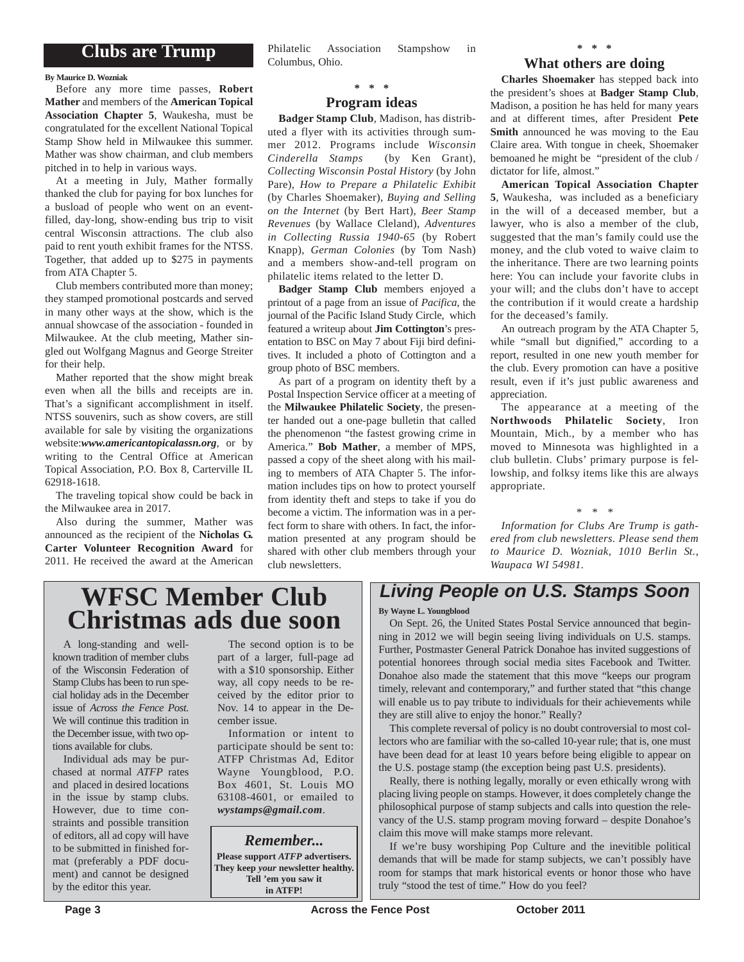### **Clubs are Trump**

**By Maurice D. Wozniak**

Before any more time passes, **Robert Mather** and members of the **American Topical Association Chapter 5**, Waukesha, must be congratulated for the excellent National Topical Stamp Show held in Milwaukee this summer. Mather was show chairman, and club members pitched in to help in various ways.

At a meeting in July, Mather formally thanked the club for paying for box lunches for a busload of people who went on an eventfilled, day-long, show-ending bus trip to visit central Wisconsin attractions. The club also paid to rent youth exhibit frames for the NTSS. Together, that added up to \$275 in payments from ATA Chapter 5.

Club members contributed more than money; they stamped promotional postcards and served in many other ways at the show, which is the annual showcase of the association - founded in Milwaukee. At the club meeting, Mather singled out Wolfgang Magnus and George Streiter for their help.

Mather reported that the show might break even when all the bills and receipts are in. That's a significant accomplishment in itself. NTSS souvenirs, such as show covers, are still available for sale by visiting the organizations website:*www.americantopicalassn.org*, or by writing to the Central Office at American Topical Association, P.O. Box 8, Carterville IL 62918-1618.

The traveling topical show could be back in the Milwaukee area in 2017.

Also during the summer, Mather was announced as the recipient of the **Nicholas G. Carter Volunteer Recognition Award** for 2011. He received the award at the American Philatelic Association Stampshow in Columbus, Ohio.

### **\* \* \***

#### **Program ideas**

**Badger Stamp Club**, Madison, has distributed a flyer with its activities through summer 2012. Programs include *Wisconsin Cinderella Stamps* (by Ken Grant), *Collecting Wisconsin Postal History* (by John Pare), *How to Prepare a Philatelic Exhibit* (by Charles Shoemaker), *Buying and Selling on the Internet* (by Bert Hart), *Beer Stamp Revenues* (by Wallace Cleland), *Adventures in Collecting Russia 1940-65* (by Robert Knapp), *German Colonies* (by Tom Nash) and a members show-and-tell program on philatelic items related to the letter D.

**Badger Stamp Club** members enjoyed a printout of a page from an issue of *Pacifica*, the journal of the Pacific Island Study Circle, which featured a writeup about **Jim Cottington**'s presentation to BSC on May 7 about Fiji bird definitives. It included a photo of Cottington and a group photo of BSC members.

As part of a program on identity theft by a Postal Inspection Service officer at a meeting of the **Milwaukee Philatelic Society**, the presenter handed out a one-page bulletin that called the phenomenon "the fastest growing crime in America." **Bob Mather**, a member of MPS, passed a copy of the sheet along with his mailing to members of ATA Chapter 5. The information includes tips on how to protect yourself from identity theft and steps to take if you do become a victim. The information was in a perfect form to share with others. In fact, the information presented at any program should be shared with other club members through your club newsletters.

### **\* \* \***

#### **What others are doing**

**Charles Shoemaker** has stepped back into the president's shoes at **Badger Stamp Club**, Madison, a position he has held for many years and at different times, after President **Pete Smith** announced he was moving to the Eau Claire area. With tongue in cheek, Shoemaker bemoaned he might be "president of the club / dictator for life, almost."

**American Topical Association Chapter 5**, Waukesha, was included as a beneficiary in the will of a deceased member, but a lawyer, who is also a member of the club, suggested that the man's family could use the money, and the club voted to waive claim to the inheritance. There are two learning points here: You can include your favorite clubs in your will; and the clubs don't have to accept the contribution if it would create a hardship for the deceased's family.

An outreach program by the ATA Chapter 5, while "small but dignified," according to a report, resulted in one new youth member for the club. Every promotion can have a positive result, even if it's just public awareness and appreciation.

The appearance at a meeting of the **Northwoods Philatelic Society**, Iron Mountain, Mich., by a member who has moved to Minnesota was highlighted in a club bulletin. Clubs' primary purpose is fellowship, and folksy items like this are always appropriate.

*Information for Clubs Are Trump is gathered from club newsletters. Please send them to Maurice D. Wozniak, 1010 Berlin St., Waupaca WI 54981.*

*\* \* \**

## **WFSC Member Club Christmas ads due soon**

A long-standing and wellknown tradition of member clubs of the Wisconsin Federation of Stamp Clubs has been to run special holiday ads in the December issue of *Across the Fence Post*. We will continue this tradition in the December issue, with two options available for clubs.

Individual ads may be purchased at normal *ATFP* rates and placed in desired locations in the issue by stamp clubs. However, due to time constraints and possible transition of editors, all ad copy will have to be submitted in finished format (preferably a PDF document) and cannot be designed by the editor this year.

The second option is to be part of a larger, full-page ad with a \$10 sponsorship. Either way, all copy needs to be received by the editor prior to Nov. 14 to appear in the December issue.

Information or intent to participate should be sent to: ATFP Christmas Ad, Editor Wayne Youngblood, P.O. Box 4601, St. Louis MO 63108-4601, or emailed to *wystamps@gmail.com*.

*Remember...*

**Please support** *ATFP* **advertisers. They keep** *your* **newsletter healthy. Tell 'em you saw it in ATFP!**

## *Living People on U.S. Stamps Soon*

#### **By Wayne L. Youngblood**

On Sept. 26, the United States Postal Service announced that beginning in 2012 we will begin seeing living individuals on U.S. stamps. Further, Postmaster General Patrick Donahoe has invited suggestions of potential honorees through social media sites Facebook and Twitter. Donahoe also made the statement that this move "keeps our program timely, relevant and contemporary," and further stated that "this change will enable us to pay tribute to individuals for their achievements while they are still alive to enjoy the honor." Really?

This complete reversal of policy is no doubt controversial to most collectors who are familiar with the so-called 10-year rule; that is, one must have been dead for at least 10 years before being eligible to appear on the U.S. postage stamp (the exception being past U.S. presidents).

Really, there is nothing legally, morally or even ethically wrong with placing living people on stamps. However, it does completely change the philosophical purpose of stamp subjects and calls into question the relevancy of the U.S. stamp program moving forward – despite Donahoe's claim this move will make stamps more relevant.

If we're busy worshiping Pop Culture and the inevitible political demands that will be made for stamp subjects, we can't possibly have room for stamps that mark historical events or honor those who have truly "stood the test of time." How do you feel?